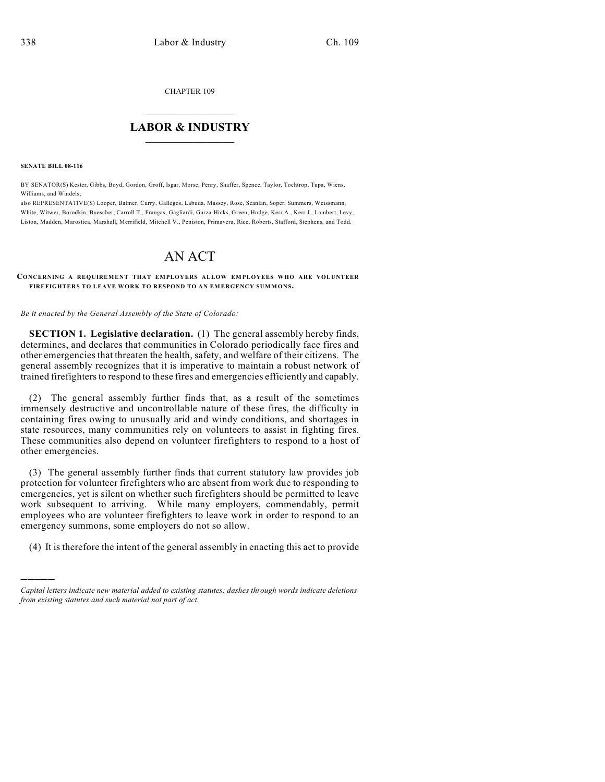CHAPTER 109

## $\overline{\phantom{a}}$  . The set of the set of the set of the set of the set of the set of the set of the set of the set of the set of the set of the set of the set of the set of the set of the set of the set of the set of the set o **LABOR & INDUSTRY**  $\_$   $\_$   $\_$   $\_$   $\_$   $\_$   $\_$   $\_$   $\_$

**SENATE BILL 08-116**

)))))

BY SENATOR(S) Kester, Gibbs, Boyd, Gordon, Groff, Isgar, Morse, Penry, Shaffer, Spence, Taylor, Tochtrop, Tupa, Wiens, Williams, and Windels;

also REPRESENTATIVE(S) Looper, Balmer, Curry, Gallegos, Labuda, Massey, Rose, Scanlan, Soper, Summers, Weissmann, White, Witwer, Borodkin, Buescher, Carroll T., Frangas, Gagliardi, Garza-Hicks, Green, Hodge, Kerr A., Kerr J., Lambert, Levy, Liston, Madden, Marostica, Marshall, Merrifield, Mitchell V., Peniston, Primavera, Rice, Roberts, Stafford, Stephens, and Todd.

## AN ACT

**CONCERNING A REQUIREMENT THAT EMPLOYERS ALLOW EMPLOYEES WHO ARE VOLUNTEER FIREFIGHTERS TO LEAVE WORK TO RESPOND TO AN EMERGENCY SUMMONS.**

*Be it enacted by the General Assembly of the State of Colorado:*

**SECTION 1. Legislative declaration.** (1) The general assembly hereby finds, determines, and declares that communities in Colorado periodically face fires and other emergencies that threaten the health, safety, and welfare of their citizens. The general assembly recognizes that it is imperative to maintain a robust network of trained firefighters to respond to these fires and emergencies efficiently and capably.

(2) The general assembly further finds that, as a result of the sometimes immensely destructive and uncontrollable nature of these fires, the difficulty in containing fires owing to unusually arid and windy conditions, and shortages in state resources, many communities rely on volunteers to assist in fighting fires. These communities also depend on volunteer firefighters to respond to a host of other emergencies.

(3) The general assembly further finds that current statutory law provides job protection for volunteer firefighters who are absent from work due to responding to emergencies, yet is silent on whether such firefighters should be permitted to leave work subsequent to arriving. While many employers, commendably, permit employees who are volunteer firefighters to leave work in order to respond to an emergency summons, some employers do not so allow.

(4) It is therefore the intent of the general assembly in enacting this act to provide

*Capital letters indicate new material added to existing statutes; dashes through words indicate deletions from existing statutes and such material not part of act.*